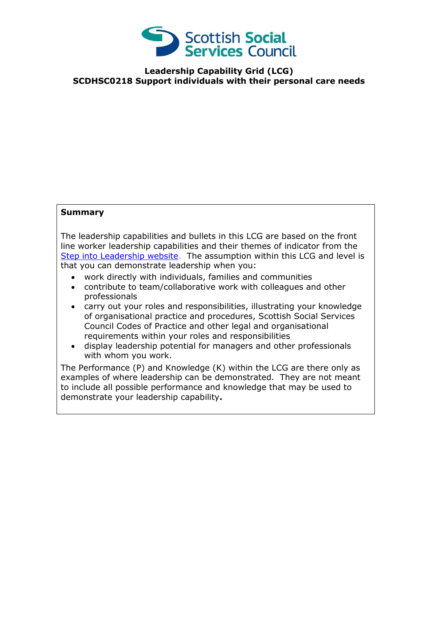

**Leadership Capability Grid (LCG) SCDHSC0218 Support individuals with their personal care needs**

## **Summary**

The leadership capabilities and bullets in this LCG are based on the front line worker leadership capabilities and their themes of indicator from the [Step into Leadership website.](http://www.stepintoleadership.info/) The assumption within this LCG and level is that you can demonstrate leadership when you:

- work directly with individuals, families and communities
- contribute to team/collaborative work with colleagues and other professionals
- carry out your roles and responsibilities, illustrating your knowledge of organisational practice and procedures, Scottish Social Services Council Codes of Practice and other legal and organisational requirements within your roles and responsibilities
- display leadership potential for managers and other professionals with whom you work.

The Performance (P) and Knowledge (K) within the LCG are there only as examples of where leadership can be demonstrated. They are not meant to include all possible performance and knowledge that may be used to demonstrate your leadership capability**.**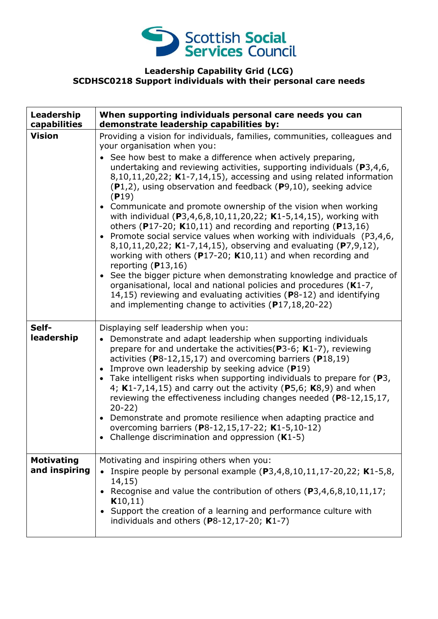

## **Leadership Capability Grid (LCG) SCDHSC0218 Support individuals with their personal care needs**

| Leadership<br>capabilities         | When supporting individuals personal care needs you can<br>demonstrate leadership capabilities by:                                                                                                                                                                                                                                                                                                                                                                                                                                                                                                                                                                                                                                                                                                                                                                                                                                                                                                                                                                                                                                          |
|------------------------------------|---------------------------------------------------------------------------------------------------------------------------------------------------------------------------------------------------------------------------------------------------------------------------------------------------------------------------------------------------------------------------------------------------------------------------------------------------------------------------------------------------------------------------------------------------------------------------------------------------------------------------------------------------------------------------------------------------------------------------------------------------------------------------------------------------------------------------------------------------------------------------------------------------------------------------------------------------------------------------------------------------------------------------------------------------------------------------------------------------------------------------------------------|
| <b>Vision</b>                      | Providing a vision for individuals, families, communities, colleagues and<br>your organisation when you:<br>See how best to make a difference when actively preparing,<br>undertaking and reviewing activities, supporting individuals ( $P3,4,6$ ,<br>$8,10,11,20,22$ ; K1-7,14,15), accessing and using related information<br>$(P1,2)$ , using observation and feedback $(P9,10)$ , seeking advice<br>(P19)<br>• Communicate and promote ownership of the vision when working<br>with individual (P3,4,6,8,10,11,20,22; K1-5,14,15), working with<br>others (P17-20; $K10,11$ ) and recording and reporting (P13,16)<br>• Promote social service values when working with individuals (P3,4,6,<br>8,10,11,20,22; K1-7,14,15), observing and evaluating (P7,9,12),<br>working with others ( $P17-20$ ; K10,11) and when recording and<br>reporting $(P13,16)$<br>• See the bigger picture when demonstrating knowledge and practice of<br>organisational, local and national policies and procedures (K1-7,<br>14,15) reviewing and evaluating activities (P8-12) and identifying<br>and implementing change to activities (P17,18,20-22) |
| Self-<br>leadership                | Displaying self leadership when you:<br>Demonstrate and adapt leadership when supporting individuals<br>$\bullet$<br>prepare for and undertake the activities ( $P3-6$ ; K1-7), reviewing<br>activities ( $P8-12,15,17$ ) and overcoming barriers ( $P18,19$ )<br>Improve own leadership by seeking advice (P19)<br>• Take intelligent risks when supporting individuals to prepare for $(P3,$<br>4; $K1-7,14,15$ ) and carry out the activity (P5,6; $K8,9$ ) and when<br>reviewing the effectiveness including changes needed (P8-12,15,17,<br>$20-22)$<br>• Demonstrate and promote resilience when adapting practice and<br>overcoming barriers (P8-12,15,17-22; K1-5,10-12)<br>Challenge discrimination and oppression $(K1-5)$                                                                                                                                                                                                                                                                                                                                                                                                        |
| <b>Motivating</b><br>and inspiring | Motivating and inspiring others when you:<br>Inspire people by personal example $(P3,4,8,10,11,17-20,22; K1-5,8,$<br>14,15)<br>Recognise and value the contribution of others (P3,4,6,8,10,11,17;<br>K10,11)<br>Support the creation of a learning and performance culture with<br>individuals and others $(P8-12, 17-20; K1-7)$                                                                                                                                                                                                                                                                                                                                                                                                                                                                                                                                                                                                                                                                                                                                                                                                            |